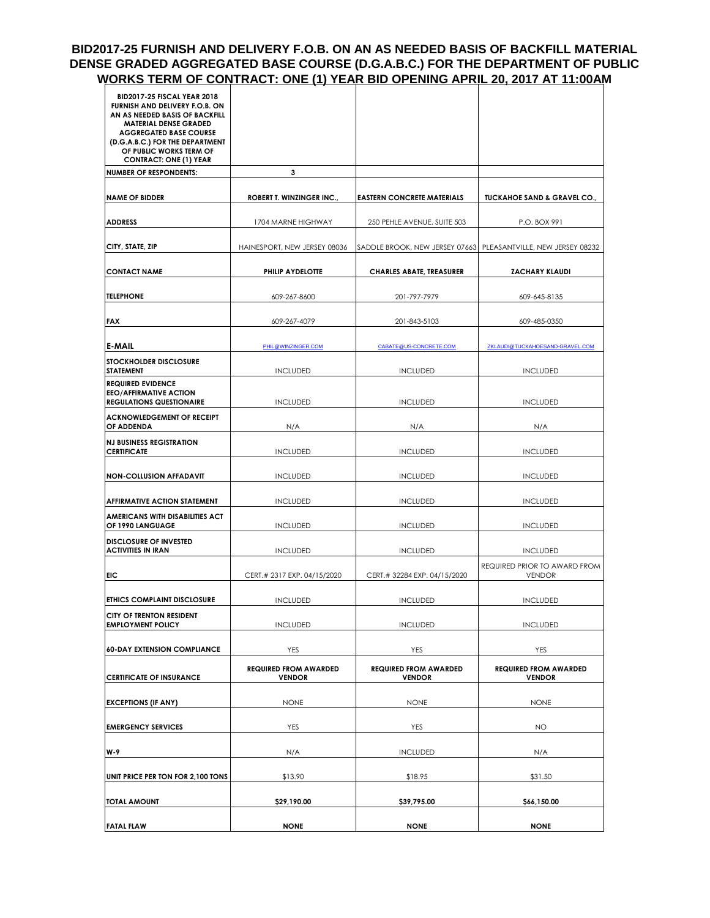#### **BID2017-25 FURNISH AND DELIVERY F.O.B. ON AN AS NEEDED BASIS OF BACKFILL MATERIAL DENSE GRADED AGGREGATED BASE COURSE (D.G.A.B.C.) FOR THE DEPARTMENT OF PUBLIC WORKS TERM OF CONTRACT: ONE (1) YEAR BID OPENING APRIL 20, 2017 AT 11:00AM**

| <b>BID2017-25 FISCAL YEAR 2018</b><br>FURNISH AND DELIVERY F.O.B. ON<br>AN AS NEEDED BASIS OF BACKFILL<br><b>MATERIAL DENSE GRADED</b><br><b>AGGREGATED BASE COURSE</b> |                                               |                                               |                                                                |
|-------------------------------------------------------------------------------------------------------------------------------------------------------------------------|-----------------------------------------------|-----------------------------------------------|----------------------------------------------------------------|
| (D.G.A.B.C.) FOR THE DEPARTMENT<br>OF PUBLIC WORKS TERM OF<br><b>CONTRACT: ONE (1) YEAR</b>                                                                             |                                               |                                               |                                                                |
| <b>NUMBER OF RESPONDENTS:</b>                                                                                                                                           | 3                                             |                                               |                                                                |
| <b>NAME OF BIDDER</b>                                                                                                                                                   | <b>ROBERT T. WINZINGER INC.,</b>              | <b>EASTERN CONCRETE MATERIALS</b>             | <b>TUCKAHOE SAND &amp; GRAVEL CO.,</b>                         |
| <b>ADDRESS</b>                                                                                                                                                          | 1704 MARNE HIGHWAY                            | 250 PEHLE AVENUE, SUITE 503                   | P.O. BOX 991                                                   |
| CITY, STATE, ZIP                                                                                                                                                        | HAINESPORT, NEW JERSEY 08036                  |                                               | SADDLE BROOK, NEW JERSEY 07663 PLEASANTVILLE, NEW JERSEY 08232 |
| <b>CONTACT NAME</b>                                                                                                                                                     | PHILIP AYDELOTTE                              | <b>CHARLES ABATE, TREASURER</b>               | <b>ZACHARY KLAUDI</b>                                          |
| <b>TELEPHONE</b>                                                                                                                                                        | 609-267-8600                                  | 201-797-7979                                  | 609-645-8135                                                   |
| <b>FAX</b>                                                                                                                                                              | 609-267-4079                                  | 201-843-5103                                  | 609-485-0350                                                   |
| <b>E-MAIL</b>                                                                                                                                                           | PHIL@WINZINGER.COM                            | CABATE@US-CONCRETE.COM                        | ZKLAUDI@TUCKAHOESAND-GRAVEL.COM                                |
| <b>STOCKHOLDER DISCLOSURE</b><br><b>STATEMENT</b>                                                                                                                       | <b>INCLUDED</b>                               | <b>INCLUDED</b>                               | <b>INCLUDED</b>                                                |
| <b>REQUIRED EVIDENCE</b><br><b>EEO/AFFIRMATIVE ACTION</b><br><b>REGULATIONS QUESTIONAIRE</b>                                                                            | <b>INCLUDED</b>                               | <b>INCLUDED</b>                               | <b>INCLUDED</b>                                                |
| <b>ACKNOWLEDGEMENT OF RECEIPT</b><br>OF ADDENDA                                                                                                                         | N/A                                           | N/A                                           | N/A                                                            |
| <b>NJ BUSINESS REGISTRATION</b><br><b>CERTIFICATE</b>                                                                                                                   | <b>INCLUDED</b>                               | <b>INCLUDED</b>                               | <b>INCLUDED</b>                                                |
| <b>NON-COLLUSION AFFADAVIT</b>                                                                                                                                          | <b>INCLUDED</b>                               | <b>INCLUDED</b>                               | <b>INCLUDED</b>                                                |
| <b>AFFIRMATIVE ACTION STATEMENT</b>                                                                                                                                     | <b>INCLUDED</b>                               | <b>INCLUDED</b>                               | <b>INCLUDED</b>                                                |
| <b>AMERICANS WITH DISABILITIES ACT</b><br>OF 1990 LANGUAGE                                                                                                              | <b>INCLUDED</b>                               | <b>INCLUDED</b>                               | <b>INCLUDED</b>                                                |
| <b>DISCLOSURE OF INVESTED</b><br>ACTIVITIES IN IRAN                                                                                                                     | <b>INCLUDED</b>                               | <b>INCLUDED</b>                               | <b>INCLUDED</b>                                                |
| <b>EIC</b>                                                                                                                                                              | CERT.# 2317 EXP. 04/15/2020                   | CERT.# 32284 EXP. 04/15/2020                  | REQUIRED PRIOR TO AWARD FROM<br><b>VENDOR</b>                  |
| <b>ETHICS COMPLAINT DISCLOSURE</b>                                                                                                                                      | <b>INCLUDED</b>                               | <b>INCLUDED</b>                               | <b>INCLUDED</b>                                                |
| <b>CITY OF TRENTON RESIDENT</b><br><b>EMPLOYMENT POLICY</b>                                                                                                             | <b>INCLUDED</b>                               | <b>INCLUDED</b>                               | <b>INCLUDED</b>                                                |
| <b>60-DAY EXTENSION COMPLIANCE</b>                                                                                                                                      | YES                                           | YES                                           | <b>YES</b>                                                     |
| <b>CERTIFICATE OF INSURANCE</b>                                                                                                                                         | <b>REQUIRED FROM AWARDED</b><br><b>VENDOR</b> | <b>REQUIRED FROM AWARDED</b><br><b>VENDOR</b> | <b>REQUIRED FROM AWARDED</b><br><b>VENDOR</b>                  |
| <b>EXCEPTIONS (IF ANY)</b>                                                                                                                                              | <b>NONE</b>                                   | <b>NONE</b>                                   | <b>NONE</b>                                                    |
| <b>EMERGENCY SERVICES</b>                                                                                                                                               | YES<br>YES                                    |                                               | NO.                                                            |
| W-9                                                                                                                                                                     | N/A<br><b>INCLUDED</b>                        |                                               | N/A                                                            |
| UNIT PRICE PER TON FOR 2,100 TONS                                                                                                                                       | \$13.90                                       | \$18.95                                       | \$31.50                                                        |
| <b>TOTAL AMOUNT</b>                                                                                                                                                     | \$29,190.00                                   | \$39,795.00                                   | \$66,150.00                                                    |
| <b>FATAL FLAW</b>                                                                                                                                                       | <b>NONE</b>                                   | <b>NONE</b>                                   | <b>NONE</b>                                                    |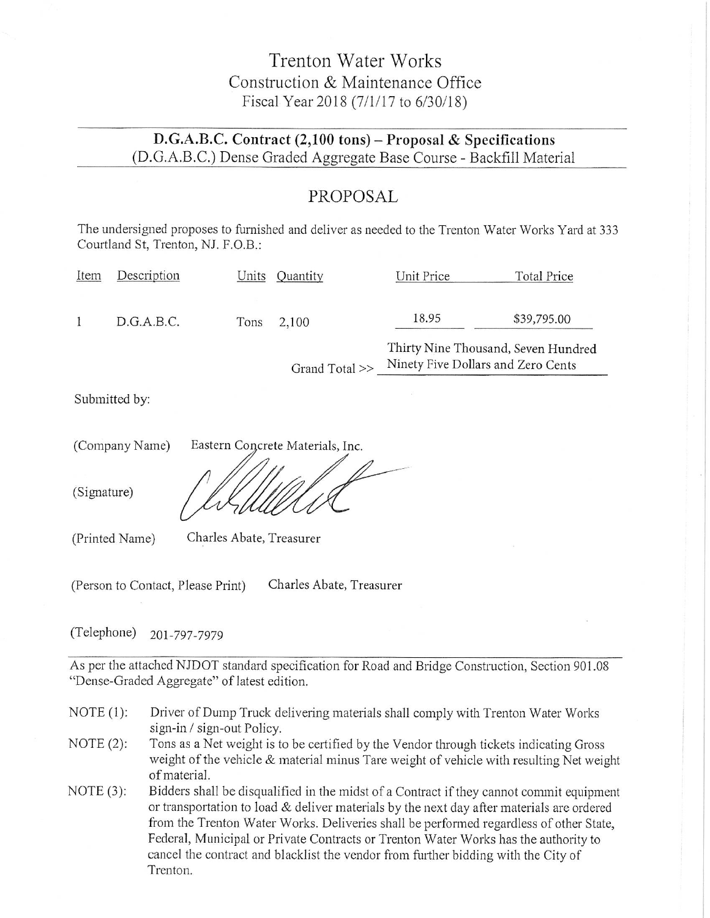### Trenton Water Works Construction & Maintenance Office Fiscal Year 2018 (7/1/17 to 6/30/18)

#### D.G.A.B.C. Contract (2,100 tons) - Proposal & Specifications (D.G.A.B.C.) Dense Graded Aggregate Base Course - Backfill Material

### PROPOSAL

The undersigned proposes to furnished and deliver as needed to the Trenton Water Works Yard at 333 Courtland St. Trenton, NJ. F.O.B.:

| Item | Description | Units | Quantity       | Unit Price | Total Price                                                               |
|------|-------------|-------|----------------|------------|---------------------------------------------------------------------------|
|      | D.G.A.B.C.  | Tons  | 2,100          | 18.95      | \$39,795.00                                                               |
|      |             |       | Grand Total >> |            | Thirty Nine Thousand, Seven Hundred<br>Ninety Five Dollars and Zero Cents |

Submitted by:

| (Company Name) | Eastern Concrete Materials, Inc. |
|----------------|----------------------------------|
| (Signature)    |                                  |

(Printed Name) Charles Abate, Treasurer

Charles Abate, Treasurer (Person to Contact, Please Print)

(Telephone) 201-797-7979

As per the attached NJDOT standard specification for Road and Bridge Construction, Section 901.08 "Dense-Graded Aggregate" of latest edition.

- NOTE  $(1)$ : Driver of Dump Truck delivering materials shall comply with Trenton Water Works sign-in / sign-out Policy.
- Tons as a Net weight is to be certified by the Vendor through tickets indicating Gross NOTE  $(2)$ : weight of the vehicle & material minus Tare weight of vehicle with resulting Net weight of material.
- Bidders shall be disqualified in the midst of a Contract if they cannot commit equipment NOTE  $(3)$ : or transportation to load & deliver materials by the next day after materials are ordered from the Trenton Water Works. Deliveries shall be performed regardless of other State, Federal, Municipal or Private Contracts or Trenton Water Works has the authority to cancel the contract and blacklist the vendor from further bidding with the City of Trenton.